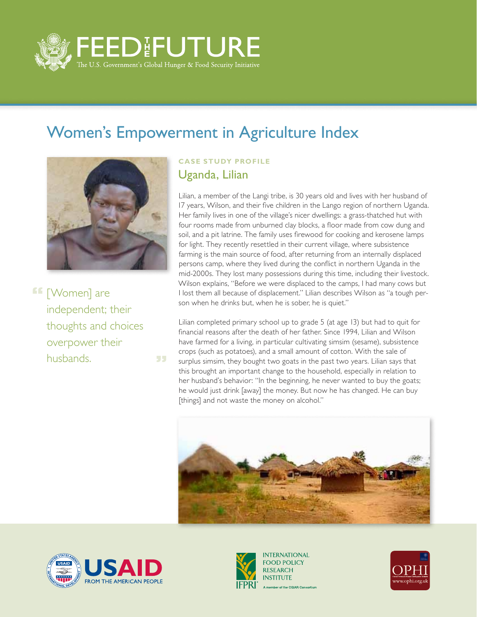

55

## Women's Empowerment in Agriculture Index



**f** [Women] are independent; their thoughts and choices overpower their husbands.

## **CASE STUDY PROFILE** Uganda, Lilian

Lilian, a member of the Langi tribe, is 30 years old and lives with her husband of 17 years, Wilson, and their five children in the Lango region of northern Uganda. Her family lives in one of the village's nicer dwellings: a grass-thatched hut with four rooms made from unburned clay blocks, a floor made from cow dung and soil, and a pit latrine. The family uses firewood for cooking and kerosene lamps for light. They recently resettled in their current village, where subsistence farming is the main source of food, after returning from an internally displaced persons camp, where they lived during the conflict in northern Uganda in the mid-2000s. They lost many possessions during this time, including their livestock. Wilson explains, "Before we were displaced to the camps, I had many cows but I lost them all because of displacement." Lilian describes Wilson as "a tough person when he drinks but, when he is sober, he is quiet."

Lilian completed primary school up to grade 5 (at age 13) but had to quit for financial reasons after the death of her father. Since 1994, Lilian and Wilson have farmed for a living, in particular cultivating simsim (sesame), subsistence crops (such as potatoes), and a small amount of cotton. With the sale of surplus simsim, they bought two goats in the past two years. Lilian says that this brought an important change to the household, especially in relation to her husband's behavior: "In the beginning, he never wanted to buy the goats; he would just drink [away] the money. But now he has changed. He can buy [things] and not waste the money on alcohol."







**INTERNATIONAL FOOD POLICY RESEARCH INSTITUTE** A member of the CGIAR Consortium